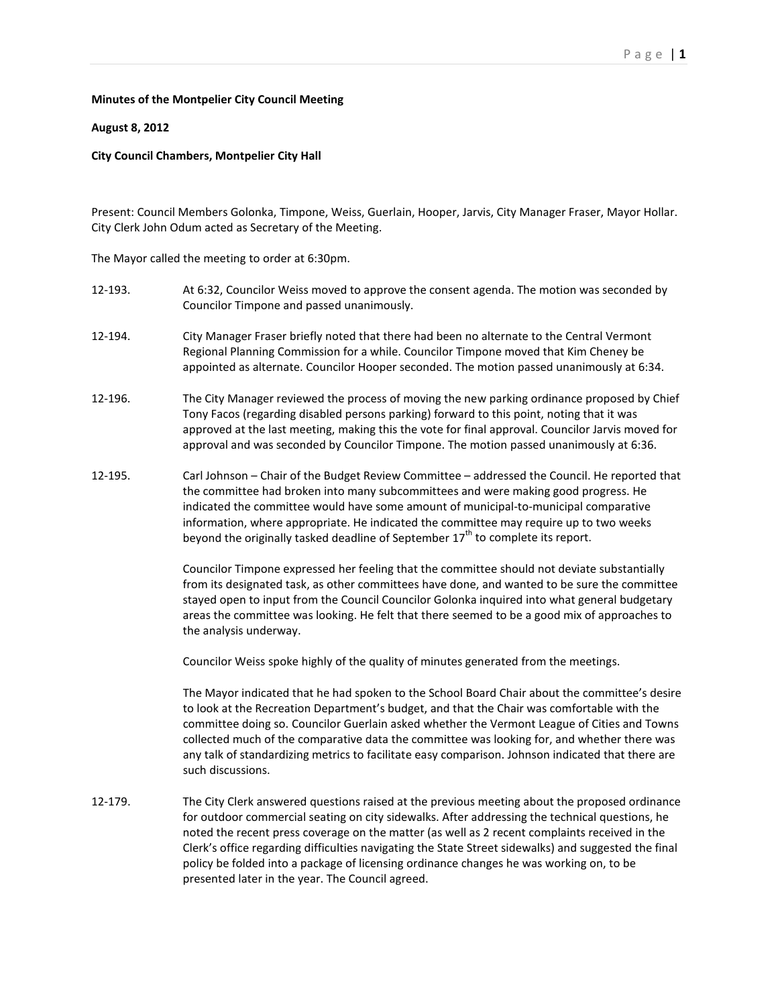## **Minutes of the Montpelier City Council Meeting**

## **August 8, 2012**

## **City Council Chambers, Montpelier City Hall**

Present: Council Members Golonka, Timpone, Weiss, Guerlain, Hooper, Jarvis, City Manager Fraser, Mayor Hollar. City Clerk John Odum acted as Secretary of the Meeting.

The Mayor called the meeting to order at 6:30pm.

- 12-193. At 6:32, Councilor Weiss moved to approve the consent agenda. The motion was seconded by Councilor Timpone and passed unanimously.
- 12-194. City Manager Fraser briefly noted that there had been no alternate to the Central Vermont Regional Planning Commission for a while. Councilor Timpone moved that Kim Cheney be appointed as alternate. Councilor Hooper seconded. The motion passed unanimously at 6:34.
- 12-196. The City Manager reviewed the process of moving the new parking ordinance proposed by Chief Tony Facos (regarding disabled persons parking) forward to this point, noting that it was approved at the last meeting, making this the vote for final approval. Councilor Jarvis moved for approval and was seconded by Councilor Timpone. The motion passed unanimously at 6:36.
- 12-195. Carl Johnson Chair of the Budget Review Committee addressed the Council. He reported that the committee had broken into many subcommittees and were making good progress. He indicated the committee would have some amount of municipal-to-municipal comparative information, where appropriate. He indicated the committee may require up to two weeks beyond the originally tasked deadline of September  $17<sup>th</sup>$  to complete its report.

Councilor Timpone expressed her feeling that the committee should not deviate substantially from its designated task, as other committees have done, and wanted to be sure the committee stayed open to input from the Council Councilor Golonka inquired into what general budgetary areas the committee was looking. He felt that there seemed to be a good mix of approaches to the analysis underway.

Councilor Weiss spoke highly of the quality of minutes generated from the meetings.

The Mayor indicated that he had spoken to the School Board Chair about the committee's desire to look at the Recreation Department's budget, and that the Chair was comfortable with the committee doing so. Councilor Guerlain asked whether the Vermont League of Cities and Towns collected much of the comparative data the committee was looking for, and whether there was any talk of standardizing metrics to facilitate easy comparison. Johnson indicated that there are such discussions.

12-179. The City Clerk answered questions raised at the previous meeting about the proposed ordinance for outdoor commercial seating on city sidewalks. After addressing the technical questions, he noted the recent press coverage on the matter (as well as 2 recent complaints received in the Clerk's office regarding difficulties navigating the State Street sidewalks) and suggested the final policy be folded into a package of licensing ordinance changes he was working on, to be presented later in the year. The Council agreed.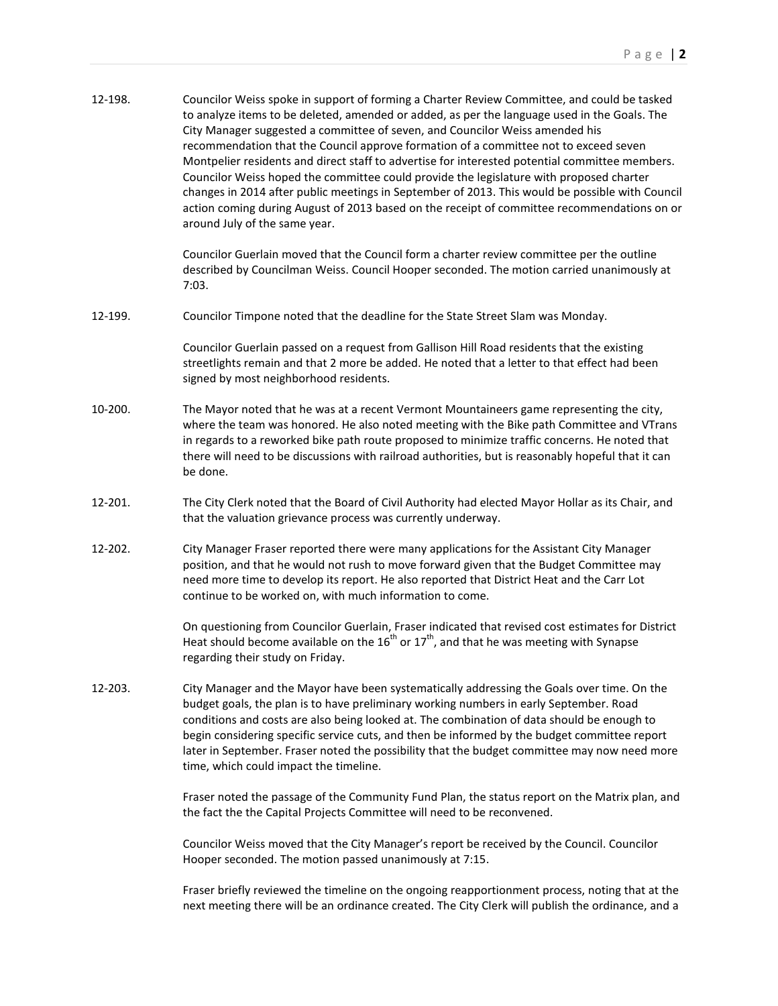| 12-198. | Councilor Weiss spoke in support of forming a Charter Review Committee, and could be tasked<br>to analyze items to be deleted, amended or added, as per the language used in the Goals. The<br>City Manager suggested a committee of seven, and Councilor Weiss amended his<br>recommendation that the Council approve formation of a committee not to exceed seven<br>Montpelier residents and direct staff to advertise for interested potential committee members.<br>Councilor Weiss hoped the committee could provide the legislature with proposed charter<br>changes in 2014 after public meetings in September of 2013. This would be possible with Council<br>action coming during August of 2013 based on the receipt of committee recommendations on or<br>around July of the same year. |
|---------|-----------------------------------------------------------------------------------------------------------------------------------------------------------------------------------------------------------------------------------------------------------------------------------------------------------------------------------------------------------------------------------------------------------------------------------------------------------------------------------------------------------------------------------------------------------------------------------------------------------------------------------------------------------------------------------------------------------------------------------------------------------------------------------------------------|
|         | Councilor Guerlain moved that the Council form a charter review committee per the outline<br>described by Councilman Weiss. Council Hooper seconded. The motion carried unanimously at<br>7:03.                                                                                                                                                                                                                                                                                                                                                                                                                                                                                                                                                                                                     |
| 12-199. | Councilor Timpone noted that the deadline for the State Street Slam was Monday.                                                                                                                                                                                                                                                                                                                                                                                                                                                                                                                                                                                                                                                                                                                     |
|         | Councilor Guerlain passed on a request from Gallison Hill Road residents that the existing<br>streetlights remain and that 2 more be added. He noted that a letter to that effect had been<br>signed by most neighborhood residents.                                                                                                                                                                                                                                                                                                                                                                                                                                                                                                                                                                |
| 10-200. | The Mayor noted that he was at a recent Vermont Mountaineers game representing the city,<br>where the team was honored. He also noted meeting with the Bike path Committee and VTrans<br>in regards to a reworked bike path route proposed to minimize traffic concerns. He noted that<br>there will need to be discussions with railroad authorities, but is reasonably hopeful that it can<br>be done.                                                                                                                                                                                                                                                                                                                                                                                            |
| 12-201. | The City Clerk noted that the Board of Civil Authority had elected Mayor Hollar as its Chair, and<br>that the valuation grievance process was currently underway.                                                                                                                                                                                                                                                                                                                                                                                                                                                                                                                                                                                                                                   |
| 12-202. | City Manager Fraser reported there were many applications for the Assistant City Manager<br>position, and that he would not rush to move forward given that the Budget Committee may<br>need more time to develop its report. He also reported that District Heat and the Carr Lot<br>continue to be worked on, with much information to come.                                                                                                                                                                                                                                                                                                                                                                                                                                                      |
|         | On questioning from Councilor Guerlain, Fraser indicated that revised cost estimates for District<br>Heat should become available on the $16^{th}$ or $17^{th}$ , and that he was meeting with Synapse<br>regarding their study on Friday.                                                                                                                                                                                                                                                                                                                                                                                                                                                                                                                                                          |
| 12-203. | City Manager and the Mayor have been systematically addressing the Goals over time. On the<br>budget goals, the plan is to have preliminary working numbers in early September. Road<br>conditions and costs are also being looked at. The combination of data should be enough to<br>begin considering specific service cuts, and then be informed by the budget committee report<br>later in September. Fraser noted the possibility that the budget committee may now need more<br>time, which could impact the timeline.                                                                                                                                                                                                                                                                        |
|         | Fraser noted the passage of the Community Fund Plan, the status report on the Matrix plan, and<br>the fact the the Capital Projects Committee will need to be reconvened.                                                                                                                                                                                                                                                                                                                                                                                                                                                                                                                                                                                                                           |
|         | Councilor Weiss moved that the City Manager's report be received by the Council. Councilor<br>Hooper seconded. The motion passed unanimously at 7:15.                                                                                                                                                                                                                                                                                                                                                                                                                                                                                                                                                                                                                                               |
|         | Eraser briefly reviewed the timeline on the ongoing reapportionment process, noting that at the                                                                                                                                                                                                                                                                                                                                                                                                                                                                                                                                                                                                                                                                                                     |

Fraser briefly reviewed the timeline on the ongoing reapportionment process, noting that at the next meeting there will be an ordinance created. The City Clerk will publish the ordinance, and a